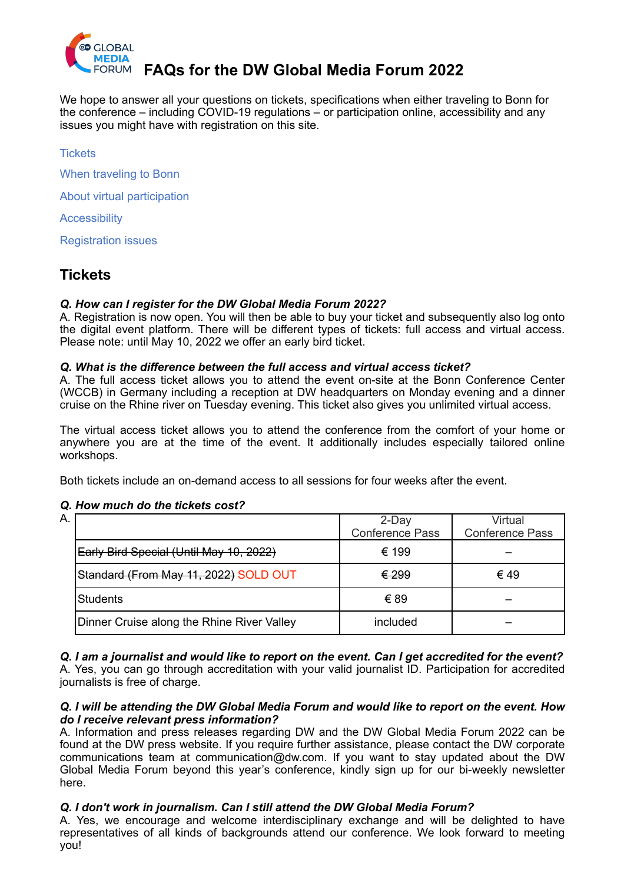

# FORUM **FAQs for the DW Global Media Forum 2022**

We hope to answer all your questions on tickets, specifications when either traveling to Bonn for the conference – including COVID-19 regulations – or participation online, accessibility and any issues you might have with registration on this site.

Tickets **1999 The Community of the Community of the Community of the Community of the Community of the Community of the Community of the Community of the Community of the Community of the Community of the Community of th** 

When traveling to Bonn

[About virtual participation 2](#page-1-1) 

**Accessibility** 

**Registration issues** 

# <span id="page-0-0"></span>**Tickets**

#### *Q. How can I register for the DW Global Media Forum 2022?*

A. Registration is now open. You will then be able to buy your ticket and subsequently also log onto the digital event platform. There will be different types of tickets: full access and virtual access. Please note: until May 10, 2022 we offer an early bird ticket.

#### *Q. What is the difference between the full access and virtual access ticket?*

A. The full access ticket allows you to attend the event on-site at the Bonn Conference Center (WCCB) in Germany including a reception at DW headquarters on Monday evening and a dinner cruise on the Rhine river on Tuesday evening. This ticket also gives you unlimited virtual access.

The virtual access ticket allows you to attend the conference from the comfort of your home or anywhere you are at the time of the event. It additionally includes especially tailored online workshops.

Both tickets include an on-demand access to all sessions for four weeks after the event.

# A. 2-Day Conference Pass Virtual Conference Pass Early Bird Special (Until May 10, 2022)  $\leftarrow$  (199 Standard (From May 11, 2022) SOLD OUT  $\leftarrow$  (299  $\leftarrow$  649 Students € 89 – Dinner Cruise along the Rhine River Valley Fig. included

# *Q. How much do the tickets cost?*

*Q. I am a journalist and would like to report on the event. Can I get accredited for the event?* 

A. Yes, you can go through accreditation with your valid journalist ID. Participation for accredited journalists is free of charge.

#### *Q. I will be attending the DW Global Media Forum and would like to report on the event. How do I receive relevant press information?*

A. Information and press releases regarding DW and the DW Global Media Forum 2022 can be found at the [DW press website](https://www.dw.com/en/press/s-3293). If you require further assistance, please contact the DW corporate communications team at [communication@dw.com.](mailto:communication@dw.com) If you want to stay updated about the DW Global Media Forum beyond this year's conference, kindly sign up for our bi-weekly newsletter [here](https://p.dw.com/p/3iRF7).

# *Q. I don't work in journalism. Can I still attend the DW Global Media Forum?*

A. Yes, we encourage and welcome interdisciplinary exchange and will be delighted to have representatives of all kinds of backgrounds attend our conference. We look forward to meeting you!